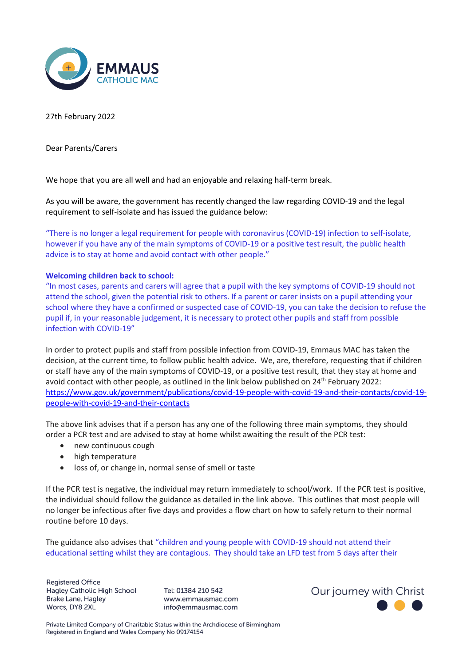

## 27th February 2022

Dear Parents/Carers

We hope that you are all well and had an enjoyable and relaxing half-term break.

As you will be aware, the government has recently changed the law regarding COVID-19 and the legal requirement to self-isolate and has issued the guidance below:

"There is no longer a legal requirement for people with coronavirus (COVID-19) infection to self-isolate, however if you have any of the main symptoms of COVID-19 or a positive test result, the public health advice is to stay at home and avoid contact with other people."

## **Welcoming children back to school:**

"In most cases, parents and carers will agree that a pupil with the key symptoms of COVID-19 should not attend the school, given the potential risk to others. If a parent or carer insists on a pupil attending your school where they have a confirmed or suspected case of COVID-19, you can take the decision to refuse the pupil if, in your reasonable judgement, it is necessary to protect other pupils and staff from possible infection with COVID-19"

In order to protect pupils and staff from possible infection from COVID-19, Emmaus MAC has taken the decision, at the current time, to follow public health advice. We, are, therefore, requesting that if children or staff have any of the main symptoms of COVID-19, or a positive test result, that they stay at home and avoid contact with other people, as outlined in the link below published on 24<sup>th</sup> February 2022: [https://www.gov.uk/government/publications/covid-19-people-with-covid-19-and-their-contacts/covid-19](https://www.gov.uk/government/publications/covid-19-people-with-covid-19-and-their-contacts/covid-19-people-with-covid-19-and-their-contacts) [people-with-covid-19-and-their-contacts](https://www.gov.uk/government/publications/covid-19-people-with-covid-19-and-their-contacts/covid-19-people-with-covid-19-and-their-contacts)

The above link advises that if a person has any one of the following three main symptoms, they should order a PCR test and are advised to stay at home whilst awaiting the result of the PCR test:

- new continuous cough
- high temperature
- loss of, or change in, normal sense of smell or taste

If the PCR test is negative, the individual may return immediately to school/work. If the PCR test is positive, the individual should follow the guidance as detailed in the link above. This outlines that most people will no longer be infectious after five days and provides a flow chart on how to safely return to their normal routine before 10 days.

The guidance also advises that "children and young people with COVID-19 should not attend their educational setting whilst they are contagious. They should take an LFD test from 5 days after their

**Registered Office** Hagley Catholic High School **Brake Lane, Hagley** Worcs, DY8 2XL

Tel: 01384 210 542 www.emmausmac.com info@emmausmac.com

Our journey with Christ

Private Limited Company of Charitable Status within the Archdiocese of Birmingham Registered in England and Wales Company No 09174154